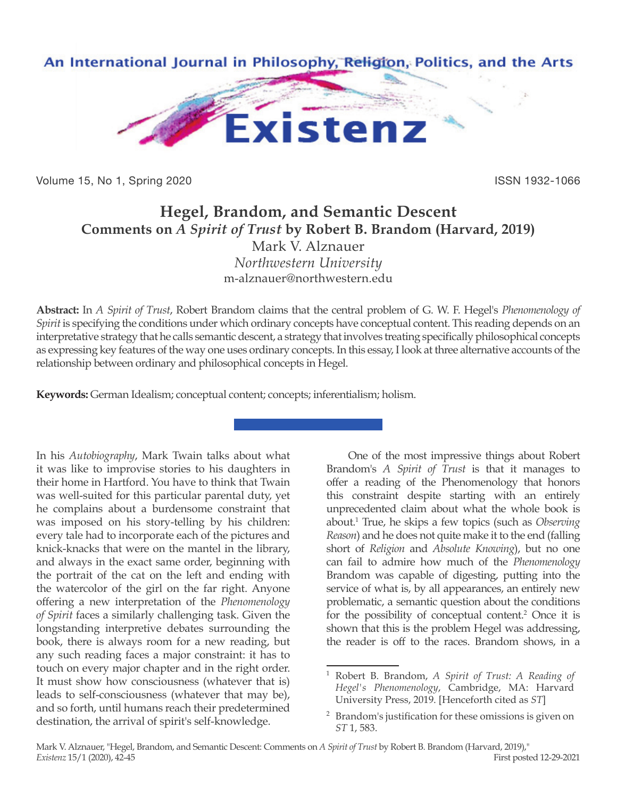

Volume 15, No 1, Spring 2020 **ISSN 1932-1066** ISSN 1932-1066

## **Hegel, Brandom, and Semantic Descent Comments on** *A Spirit of Trust* **by Robert B. Brandom (Harvard, 2019)** Mark V. Alznauer *Northwestern University*

m-alznauer@northwestern.edu

**Abstract:** In *A Spirit of Trust*, Robert Brandom claims that the central problem of G. W. F. Hegel's *Phenomenology of Spirit* is specifying the conditions under which ordinary concepts have conceptual content. This reading depends on an interpretative strategy that he calls semantic descent, a strategy that involves treating specifically philosophical concepts as expressing key features of the way one uses ordinary concepts. In this essay, I look at three alternative accounts of the relationship between ordinary and philosophical concepts in Hegel.

**Keywords:** German Idealism; conceptual content; concepts; inferentialism; holism.

In his *Autobiography*, Mark Twain talks about what it was like to improvise stories to his daughters in their home in Hartford. You have to think that Twain was well-suited for this particular parental duty, yet he complains about a burdensome constraint that was imposed on his story-telling by his children: every tale had to incorporate each of the pictures and knick-knacks that were on the mantel in the library, and always in the exact same order, beginning with the portrait of the cat on the left and ending with the watercolor of the girl on the far right. Anyone offering a new interpretation of the *Phenomenology of Spirit* faces a similarly challenging task. Given the longstanding interpretive debates surrounding the book, there is always room for a new reading, but any such reading faces a major constraint: it has to touch on every major chapter and in the right order. It must show how consciousness (whatever that is) leads to self-consciousness (whatever that may be), and so forth, until humans reach their predetermined destination, the arrival of spirit's self-knowledge.

One of the most impressive things about Robert Brandom's *A Spirit of Trust* is that it manages to offer a reading of the Phenomenology that honors this constraint despite starting with an entirely unprecedented claim about what the whole book is about.1 True, he skips a few topics (such as *Observing Reason*) and he does not quite make it to the end (falling short of *Religion* and *Absolute Knowing*), but no one can fail to admire how much of the *Phenomenology* Brandom was capable of digesting, putting into the service of what is, by all appearances, an entirely new problematic, a semantic question about the conditions for the possibility of conceptual content.<sup>2</sup> Once it is shown that this is the problem Hegel was addressing, the reader is off to the races. Brandom shows, in a

<sup>1</sup> Robert B. Brandom, *A Spirit of Trust: A Reading of Hegel's Phenomenology*, Cambridge, MA: Harvard University Press, 2019. [Henceforth cited as *ST*]

<sup>2</sup> Brandom's justification for these omissions is given on *ST* 1, 583.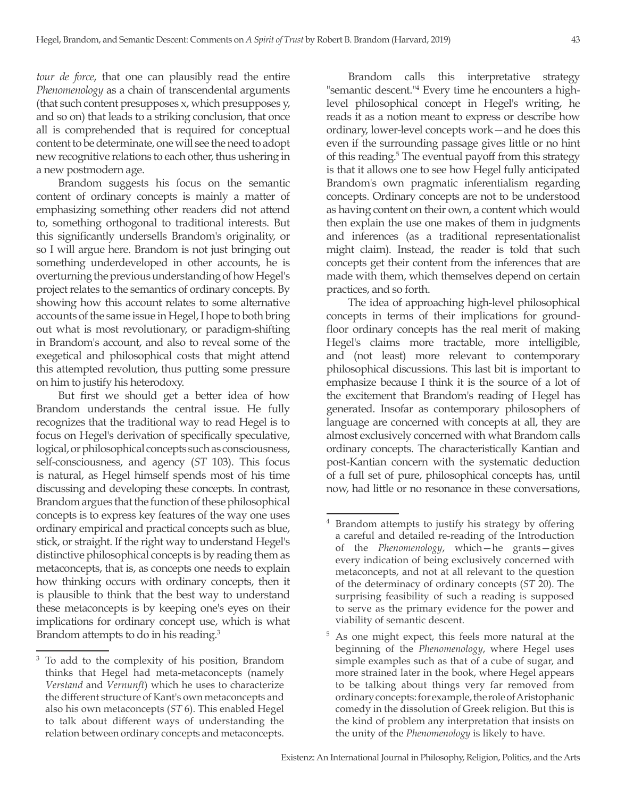*tour de force*, that one can plausibly read the entire *Phenomenology* as a chain of transcendental arguments (that such content presupposes x, which presupposes y, and so on) that leads to a striking conclusion, that once all is comprehended that is required for conceptual content to be determinate, one will see the need to adopt new recognitive relations to each other, thus ushering in a new postmodern age.

Brandom suggests his focus on the semantic content of ordinary concepts is mainly a matter of emphasizing something other readers did not attend to, something orthogonal to traditional interests. But this significantly undersells Brandom's originality, or so I will argue here. Brandom is not just bringing out something underdeveloped in other accounts, he is overturning the previous understanding of how Hegel's project relates to the semantics of ordinary concepts. By showing how this account relates to some alternative accounts of the same issue in Hegel, I hope to both bring out what is most revolutionary, or paradigm-shifting in Brandom's account, and also to reveal some of the exegetical and philosophical costs that might attend this attempted revolution, thus putting some pressure on him to justify his heterodoxy.

But first we should get a better idea of how Brandom understands the central issue. He fully recognizes that the traditional way to read Hegel is to focus on Hegel's derivation of specifically speculative, logical, or philosophical concepts such as consciousness, self-consciousness, and agency (*ST* 103). This focus is natural, as Hegel himself spends most of his time discussing and developing these concepts. In contrast, Brandom argues that the function of these philosophical concepts is to express key features of the way one uses ordinary empirical and practical concepts such as blue, stick, or straight. If the right way to understand Hegel's distinctive philosophical concepts is by reading them as metaconcepts, that is, as concepts one needs to explain how thinking occurs with ordinary concepts, then it is plausible to think that the best way to understand these metaconcepts is by keeping one's eyes on their implications for ordinary concept use, which is what Brandom attempts to do in his reading.<sup>3</sup>

Brandom calls this interpretative strategy "semantic descent."4 Every time he encounters a highlevel philosophical concept in Hegel's writing, he reads it as a notion meant to express or describe how ordinary, lower-level concepts work—and he does this even if the surrounding passage gives little or no hint of this reading.<sup>5</sup> The eventual payoff from this strategy is that it allows one to see how Hegel fully anticipated Brandom's own pragmatic inferentialism regarding concepts. Ordinary concepts are not to be understood as having content on their own, a content which would then explain the use one makes of them in judgments and inferences (as a traditional representationalist might claim). Instead, the reader is told that such concepts get their content from the inferences that are made with them, which themselves depend on certain practices, and so forth.

The idea of approaching high-level philosophical concepts in terms of their implications for groundfloor ordinary concepts has the real merit of making Hegel's claims more tractable, more intelligible, and (not least) more relevant to contemporary philosophical discussions. This last bit is important to emphasize because I think it is the source of a lot of the excitement that Brandom's reading of Hegel has generated. Insofar as contemporary philosophers of language are concerned with concepts at all, they are almost exclusively concerned with what Brandom calls ordinary concepts. The characteristically Kantian and post-Kantian concern with the systematic deduction of a full set of pure, philosophical concepts has, until now, had little or no resonance in these conversations,

<sup>3</sup> To add to the complexity of his position, Brandom thinks that Hegel had meta-metaconcepts (namely *Verstand* and *Vernunft*) which he uses to characterize the different structure of Kant's own metaconcepts and also his own metaconcepts (*ST* 6). This enabled Hegel to talk about different ways of understanding the relation between ordinary concepts and metaconcepts.

<sup>&</sup>lt;sup>4</sup> Brandom attempts to justify his strategy by offering a careful and detailed re-reading of the Introduction of the *Phenomenology*, which—he grants—gives every indication of being exclusively concerned with metaconcepts, and not at all relevant to the question of the determinacy of ordinary concepts (*ST* 20). The surprising feasibility of such a reading is supposed to serve as the primary evidence for the power and viability of semantic descent.

<sup>5</sup> As one might expect, this feels more natural at the beginning of the *Phenomenology*, where Hegel uses simple examples such as that of a cube of sugar, and more strained later in the book, where Hegel appears to be talking about things very far removed from ordinary concepts: for example, the role of Aristophanic comedy in the dissolution of Greek religion. But this is the kind of problem any interpretation that insists on the unity of the *Phenomenology* is likely to have.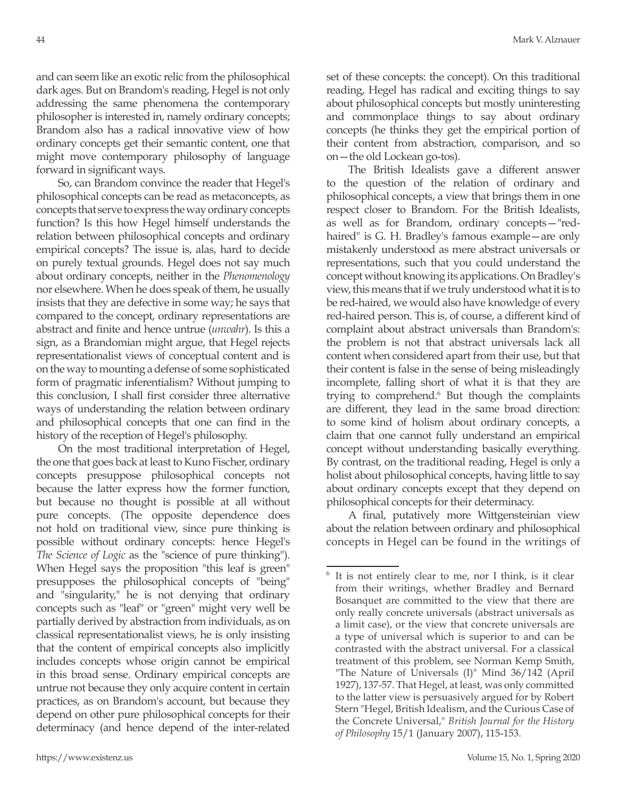and can seem like an exotic relic from the philosophical dark ages. But on Brandom's reading, Hegel is not only addressing the same phenomena the contemporary philosopher is interested in, namely ordinary concepts; Brandom also has a radical innovative view of how ordinary concepts get their semantic content, one that might move contemporary philosophy of language forward in significant ways.

So, can Brandom convince the reader that Hegel's philosophical concepts can be read as metaconcepts, as concepts that serve to express the way ordinary concepts function? Is this how Hegel himself understands the relation between philosophical concepts and ordinary empirical concepts? The issue is, alas, hard to decide on purely textual grounds. Hegel does not say much about ordinary concepts, neither in the *Phenomenology* nor elsewhere. When he does speak of them, he usually insists that they are defective in some way; he says that compared to the concept, ordinary representations are abstract and finite and hence untrue (*unwahr*). Is this a sign, as a Brandomian might argue, that Hegel rejects representationalist views of conceptual content and is on the way to mounting a defense of some sophisticated form of pragmatic inferentialism? Without jumping to this conclusion, I shall first consider three alternative ways of understanding the relation between ordinary and philosophical concepts that one can find in the history of the reception of Hegel's philosophy.

On the most traditional interpretation of Hegel, the one that goes back at least to Kuno Fischer, ordinary concepts presuppose philosophical concepts not because the latter express how the former function, but because no thought is possible at all without pure concepts. (The opposite dependence does not hold on traditional view, since pure thinking is possible without ordinary concepts: hence Hegel's *The Science of Logic* as the "science of pure thinking"). When Hegel says the proposition "this leaf is green" presupposes the philosophical concepts of "being" and "singularity," he is not denying that ordinary concepts such as "leaf" or "green" might very well be partially derived by abstraction from individuals, as on classical representationalist views, he is only insisting that the content of empirical concepts also implicitly includes concepts whose origin cannot be empirical in this broad sense. Ordinary empirical concepts are untrue not because they only acquire content in certain practices, as on Brandom's account, but because they depend on other pure philosophical concepts for their determinacy (and hence depend of the inter-related

set of these concepts: the concept). On this traditional reading, Hegel has radical and exciting things to say about philosophical concepts but mostly uninteresting and commonplace things to say about ordinary concepts (he thinks they get the empirical portion of their content from abstraction, comparison, and so on—the old Lockean go-tos).

The British Idealists gave a different answer to the question of the relation of ordinary and philosophical concepts, a view that brings them in one respect closer to Brandom. For the British Idealists, as well as for Brandom, ordinary concepts—"redhaired" is G. H. Bradley's famous example—are only mistakenly understood as mere abstract universals or representations, such that you could understand the concept without knowing its applications. On Bradley's view, this means that if we truly understood what it is to be red-haired, we would also have knowledge of every red-haired person. This is, of course, a different kind of complaint about abstract universals than Brandom's: the problem is not that abstract universals lack all content when considered apart from their use, but that their content is false in the sense of being misleadingly incomplete, falling short of what it is that they are trying to comprehend.<sup>6</sup> But though the complaints are different, they lead in the same broad direction: to some kind of holism about ordinary concepts, a claim that one cannot fully understand an empirical concept without understanding basically everything. By contrast, on the traditional reading, Hegel is only a holist about philosophical concepts, having little to say about ordinary concepts except that they depend on philosophical concepts for their determinacy.

A final, putatively more Wittgensteinian view about the relation between ordinary and philosophical concepts in Hegel can be found in the writings of

It is not entirely clear to me, nor I think, is it clear from their writings, whether Bradley and Bernard Bosanquet are committed to the view that there are only really concrete universals (abstract universals as a limit case), or the view that concrete universals are a type of universal which is superior to and can be contrasted with the abstract universal. For a classical treatment of this problem, see Norman Kemp Smith, "The Nature of Universals (I)" Mind 36/142 (April 1927), 137-57. That Hegel, at least, was only committed to the latter view is persuasively argued for by Robert Stern "Hegel, British Idealism, and the Curious Case of the Concrete Universal," *British Journal for the History of Philosophy* 15/1 (January 2007), 115-153.